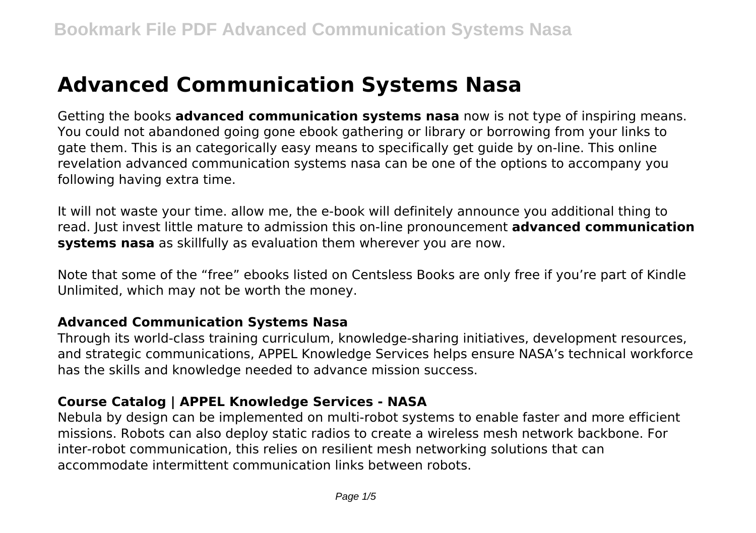# **Advanced Communication Systems Nasa**

Getting the books **advanced communication systems nasa** now is not type of inspiring means. You could not abandoned going gone ebook gathering or library or borrowing from your links to gate them. This is an categorically easy means to specifically get guide by on-line. This online revelation advanced communication systems nasa can be one of the options to accompany you following having extra time.

It will not waste your time. allow me, the e-book will definitely announce you additional thing to read. Just invest little mature to admission this on-line pronouncement **advanced communication systems nasa** as skillfully as evaluation them wherever you are now.

Note that some of the "free" ebooks listed on Centsless Books are only free if you're part of Kindle Unlimited, which may not be worth the money.

#### **Advanced Communication Systems Nasa**

Through its world-class training curriculum, knowledge-sharing initiatives, development resources, and strategic communications, APPEL Knowledge Services helps ensure NASA's technical workforce has the skills and knowledge needed to advance mission success.

# **Course Catalog | APPEL Knowledge Services - NASA**

Nebula by design can be implemented on multi-robot systems to enable faster and more efficient missions. Robots can also deploy static radios to create a wireless mesh network backbone. For inter-robot communication, this relies on resilient mesh networking solutions that can accommodate intermittent communication links between robots.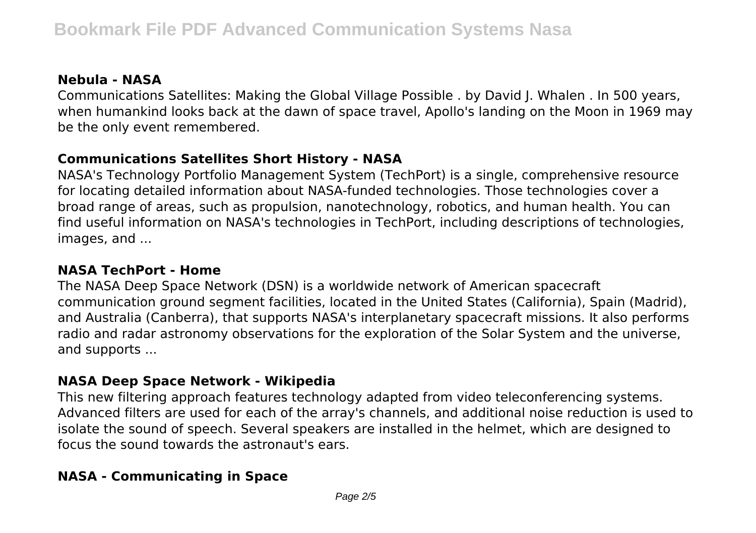# **Nebula - NASA**

Communications Satellites: Making the Global Village Possible . by David J. Whalen . In 500 years, when humankind looks back at the dawn of space travel, Apollo's landing on the Moon in 1969 may be the only event remembered.

# **Communications Satellites Short History - NASA**

NASA's Technology Portfolio Management System (TechPort) is a single, comprehensive resource for locating detailed information about NASA-funded technologies. Those technologies cover a broad range of areas, such as propulsion, nanotechnology, robotics, and human health. You can find useful information on NASA's technologies in TechPort, including descriptions of technologies, images, and ...

# **NASA TechPort - Home**

The NASA Deep Space Network (DSN) is a worldwide network of American spacecraft communication ground segment facilities, located in the United States (California), Spain (Madrid), and Australia (Canberra), that supports NASA's interplanetary spacecraft missions. It also performs radio and radar astronomy observations for the exploration of the Solar System and the universe, and supports ...

### **NASA Deep Space Network - Wikipedia**

This new filtering approach features technology adapted from video teleconferencing systems. Advanced filters are used for each of the array's channels, and additional noise reduction is used to isolate the sound of speech. Several speakers are installed in the helmet, which are designed to focus the sound towards the astronaut's ears.

# **NASA - Communicating in Space**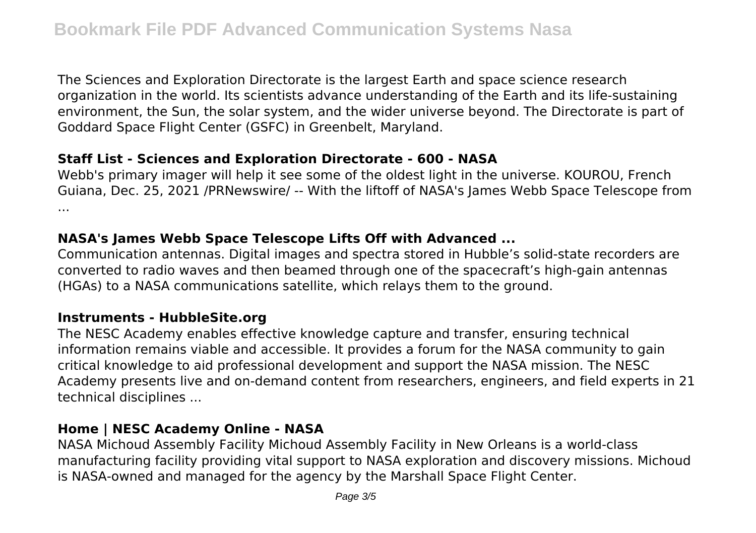The Sciences and Exploration Directorate is the largest Earth and space science research organization in the world. Its scientists advance understanding of the Earth and its life-sustaining environment, the Sun, the solar system, and the wider universe beyond. The Directorate is part of Goddard Space Flight Center (GSFC) in Greenbelt, Maryland.

### **Staff List - Sciences and Exploration Directorate - 600 - NASA**

Webb's primary imager will help it see some of the oldest light in the universe. KOUROU, French Guiana, Dec. 25, 2021 /PRNewswire/ -- With the liftoff of NASA's James Webb Space Telescope from ...

## **NASA's James Webb Space Telescope Lifts Off with Advanced ...**

Communication antennas. Digital images and spectra stored in Hubble's solid-state recorders are converted to radio waves and then beamed through one of the spacecraft's high-gain antennas (HGAs) to a NASA communications satellite, which relays them to the ground.

### **Instruments - HubbleSite.org**

The NESC Academy enables effective knowledge capture and transfer, ensuring technical information remains viable and accessible. It provides a forum for the NASA community to gain critical knowledge to aid professional development and support the NASA mission. The NESC Academy presents live and on-demand content from researchers, engineers, and field experts in 21 technical disciplines ...

### **Home | NESC Academy Online - NASA**

NASA Michoud Assembly Facility Michoud Assembly Facility in New Orleans is a world-class manufacturing facility providing vital support to NASA exploration and discovery missions. Michoud is NASA-owned and managed for the agency by the Marshall Space Flight Center.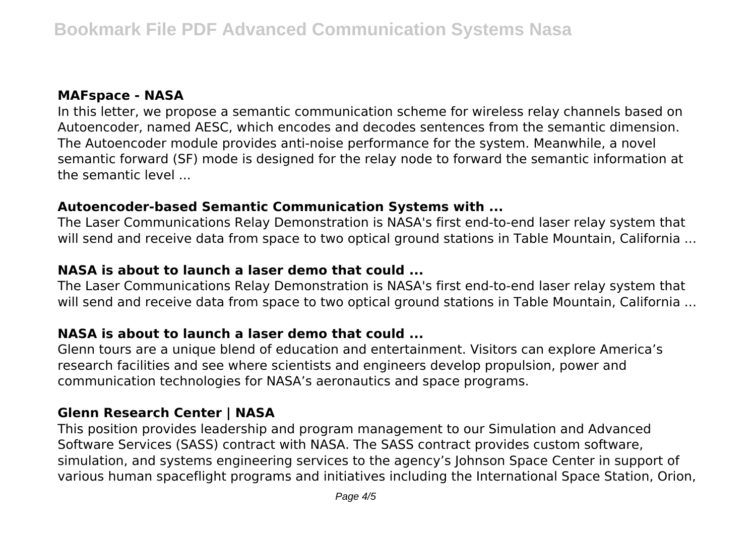# **MAFspace - NASA**

In this letter, we propose a semantic communication scheme for wireless relay channels based on Autoencoder, named AESC, which encodes and decodes sentences from the semantic dimension. The Autoencoder module provides anti-noise performance for the system. Meanwhile, a novel semantic forward (SF) mode is designed for the relay node to forward the semantic information at the semantic level ...

### **Autoencoder-based Semantic Communication Systems with ...**

The Laser Communications Relay Demonstration is NASA's first end-to-end laser relay system that will send and receive data from space to two optical ground stations in Table Mountain, California ...

# **NASA is about to launch a laser demo that could ...**

The Laser Communications Relay Demonstration is NASA's first end-to-end laser relay system that will send and receive data from space to two optical ground stations in Table Mountain, California ...

### **NASA is about to launch a laser demo that could ...**

Glenn tours are a unique blend of education and entertainment. Visitors can explore America's research facilities and see where scientists and engineers develop propulsion, power and communication technologies for NASA's aeronautics and space programs.

### **Glenn Research Center | NASA**

This position provides leadership and program management to our Simulation and Advanced Software Services (SASS) contract with NASA. The SASS contract provides custom software, simulation, and systems engineering services to the agency's Johnson Space Center in support of various human spaceflight programs and initiatives including the International Space Station, Orion,